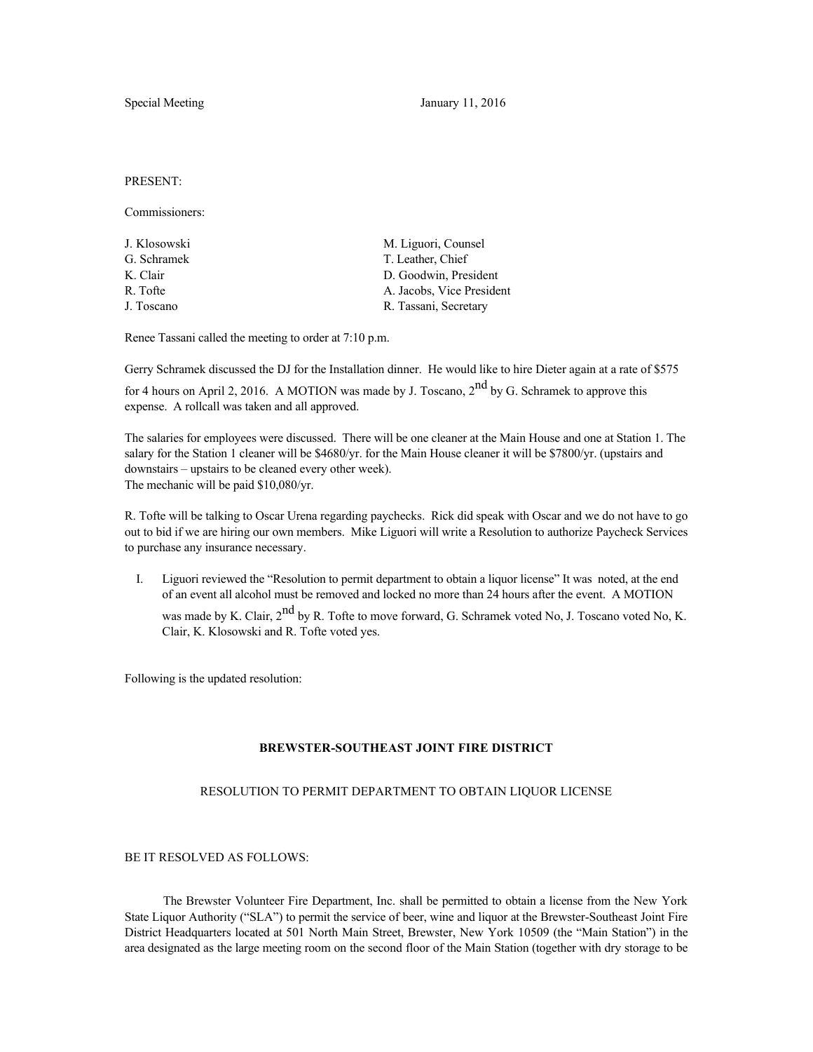Special Meeting January 11, 2016

PRESENT:

Commissioners:

| J. Klosowski | M. Liguori, Counsel       |
|--------------|---------------------------|
| G. Schramek  | T. Leather, Chief         |
| K. Clair     | D. Goodwin, President     |
| R. Tofte     | A. Jacobs, Vice President |
| J. Toscano   | R. Tassani, Secretary     |
|              |                           |

Renee Tassani called the meeting to order at 7:10 p.m.

Gerry Schramek discussed the DJ for the Installation dinner. He would like to hire Dieter again at a rate of \$575

for 4 hours on April 2, 2016. A MOTION was made by J. Toscano, 2<sup>nd</sup> by G. Schramek to approve this expense. A rollcall was taken and all approved.

The salaries for employees were discussed. There will be one cleaner at the Main House and one at Station 1. The salary for the Station 1 cleaner will be \$4680/yr. for the Main House cleaner it will be \$7800/yr. (upstairs and downstairs – upstairs to be cleaned every other week). The mechanic will be paid \$10,080/yr.

R. Tofte will be talking to Oscar Urena regarding paychecks. Rick did speak with Oscar and we do not have to go out to bid if we are hiring our own members. Mike Liguori will write a Resolution to authorize Paycheck Services to purchase any insurance necessary.

I. Liguori reviewed the "Resolution to permit department to obtain a liquor license" It was noted, at the end of an event all alcohol must be removed and locked no more than 24 hours after the event. A MOTION was made by K. Clair, 2<sup>nd</sup> by R. Tofte to move forward, G. Schramek voted No, J. Toscano voted No, K. Clair, K. Klosowski and R. Tofte voted yes.

Following is the updated resolution:

## **BREWSTER-SOUTHEAST JOINT FIRE DISTRICT**

## RESOLUTION TO PERMIT DEPARTMENT TO OBTAIN LIQUOR LICENSE

## BE IT RESOLVED AS FOLLOWS:

 The Brewster Volunteer Fire Department, Inc. shall be permitted to obtain a license from the New York State Liquor Authority ("SLA") to permit the service of beer, wine and liquor at the Brewster-Southeast Joint Fire District Headquarters located at 501 North Main Street, Brewster, New York 10509 (the "Main Station") in the area designated as the large meeting room on the second floor of the Main Station (together with dry storage to be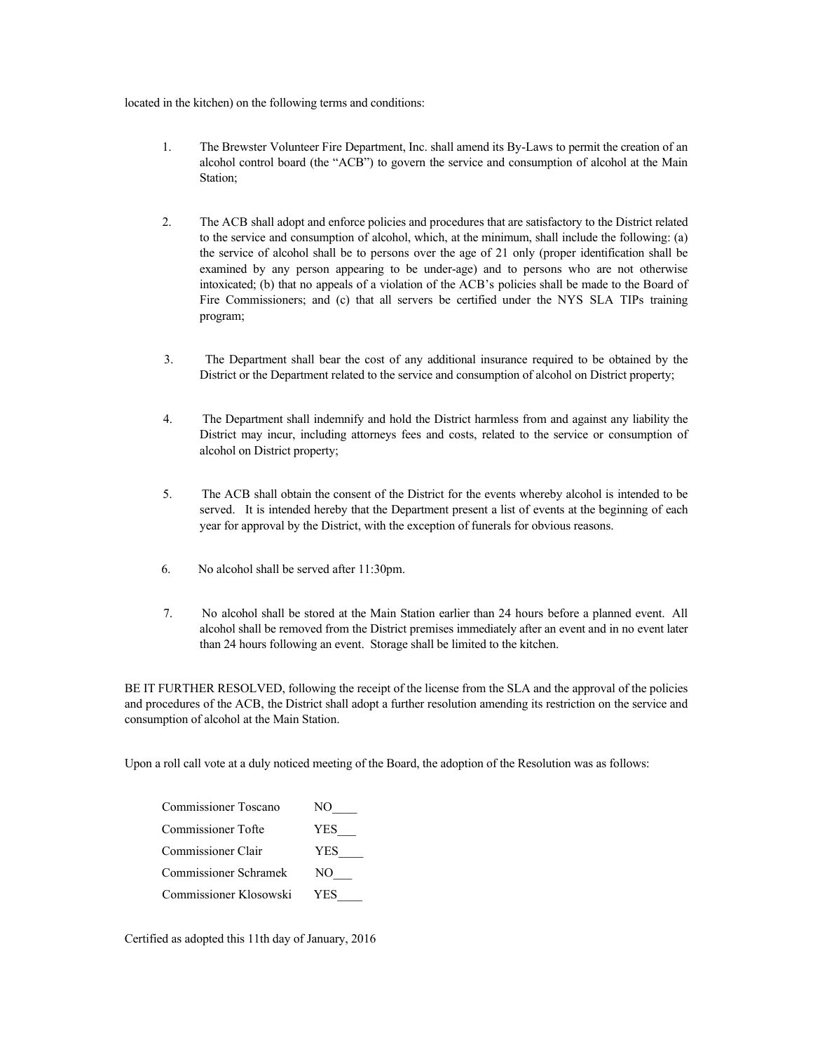located in the kitchen) on the following terms and conditions:

- 1. The Brewster Volunteer Fire Department, Inc. shall amend its By-Laws to permit the creation of an alcohol control board (the "ACB") to govern the service and consumption of alcohol at the Main Station;
- 2. The ACB shall adopt and enforce policies and procedures that are satisfactory to the District related to the service and consumption of alcohol, which, at the minimum, shall include the following: (a) the service of alcohol shall be to persons over the age of 21 only (proper identification shall be examined by any person appearing to be under-age) and to persons who are not otherwise intoxicated; (b) that no appeals of a violation of the ACB's policies shall be made to the Board of Fire Commissioners; and (c) that all servers be certified under the NYS SLA TIPs training program;
- 3. The Department shall bear the cost of any additional insurance required to be obtained by the District or the Department related to the service and consumption of alcohol on District property;
- 4. The Department shall indemnify and hold the District harmless from and against any liability the District may incur, including attorneys fees and costs, related to the service or consumption of alcohol on District property;
- 5. The ACB shall obtain the consent of the District for the events whereby alcohol is intended to be served. It is intended hereby that the Department present a list of events at the beginning of each year for approval by the District, with the exception of funerals for obvious reasons.
- 6. No alcohol shall be served after 11:30pm.
- 7. No alcohol shall be stored at the Main Station earlier than 24 hours before a planned event. All alcohol shall be removed from the District premises immediately after an event and in no event later than 24 hours following an event. Storage shall be limited to the kitchen.

BE IT FURTHER RESOLVED, following the receipt of the license from the SLA and the approval of the policies and procedures of the ACB, the District shall adopt a further resolution amending its restriction on the service and consumption of alcohol at the Main Station.

Upon a roll call vote at a duly noticed meeting of the Board, the adoption of the Resolution was as follows:

| <b>Commissioner Toscano</b> | NO  |
|-----------------------------|-----|
| Commissioner Tofte          | YES |
| Commissioner Clair          | YES |
| Commissioner Schramek       | NO  |
| Commissioner Klosowski      | YES |

Certified as adopted this 11th day of January, 2016